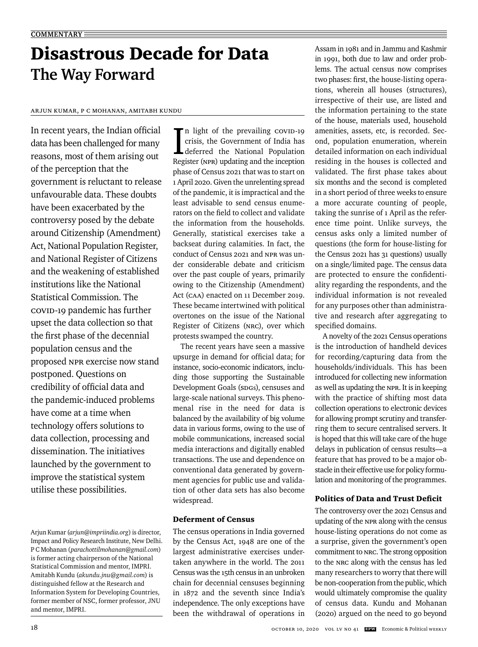# Disastrous Decade for Data **The Way Forward**

## Arjun Kumar, P C Mohanan, Amitabh Kundu

In recent years, the Indian official data has been challenged for many reasons, most of them arising out of the perception that the government is reluctant to release unfavourable data. These doubts have been exacerbated by the controversy posed by the debate around Citizenship (Amendment) Act, National Population Register, and National Register of Citizens and the weakening of established institutions like the National Statistical Commission. The COVID-19 pandemic has further upset the data collection so that the first phase of the decennial population census and the proposed NPR exercise now stand postponed. Questions on credibility of official data and the pandemic-induced problems have come at a time when technology offers solutions to data collection, processing and dissemination. The initiatives launched by the government to improve the statistical system utilise these possibilities.

In light of the prevailing covid-19<br>crisis, the Government of India has<br>deferred the National Population  $\blacksquare$  n light of the prevailing covid-19 crisis, the Government of India has Register (NPR) updating and the inception phase of Census 2021 that was to start on 1 April 2020. Given the unrelenting spread of the pandemic, it is impractical and the least advisable to send census enumerators on the field to collect and validate the information from the households. Generally, statistical exercises take a backseat during calamities. In fact, the conduct of Census 2021 and NPR was under considerable debate and criticism over the past couple of years, primarily owing to the Citizenship (Amendment) Act (CAA) enacted on 11 December 2019. These became intertwined with political overtones on the issue of the National Register of Citizens (NRC), over which protests swamped the country.

The recent years have seen a massive upsurge in demand for official data; for instance, socio-economic indicators, including those supporting the Sustainable Development Goals (spGs), censuses and large-scale national surveys. This phenomenal rise in the need for data is balanced by the availability of big volume data in various forms, owing to the use of mobile communications, increased social media interactions and digitally enabled transactions. The use and dependence on conventional data generated by government agencies for public use and validation of other data sets has also become widespread.

# Deferment of Census

The census operations in India governed by the Census Act, 1948 are one of the largest administrative exercises undertaken anywhere in the world. The 2011 Census was the 15th census in an unbroken chain for decennial censuses beginning in 1872 and the seventh since India's independence. The only exceptions have been the withdrawal of operations in Assam in 1981 and in Jammu and Kashmir in 1991, both due to law and order problems. The actual census now comprises two phases: first, the house-listing operations, wherein all houses (structures), irrespective of their use, are listed and the information pertaining to the state of the house, materials used, household amenities, assets, etc, is recorded. Second, population enumeration, wherein detailed information on each individual residing in the houses is collected and validated. The first phase takes about six months and the second is completed in a short period of three weeks to ensure a more accurate counting of people, taking the sunrise of 1 April as the reference time point. Unlike surveys, the census asks only a limited number of questions (the form for house-listing for the Census 2021 has 31 questions) usually on a single/limited page. The census data are protected to ensure the confidentiality regarding the respondents, and the individual information is not revealed for any purposes other than administrative and research after aggregating to specified domains.

A novelty of the 2021 Census operations is the introduction of handheld devices for recording/capturing data from the households/individuals. This has been introduced for collecting new information as well as updating the NPR. It is in keeping with the practice of shifting most data collection operations to electronic devices for allowing prompt scrutiny and transferring them to secure centralised servers. It is hoped that this will take care of the huge delays in publication of census results—a feature that has proved to be a major obstacle in their effective use for policy formulation and monitoring of the programmes.

# Politics of Data and Trust Deficit

The controversy over the 2021 Census and updating of the NPR along with the census house-listing operations do not come as a surprise, given the government's open commitment to NRC. The strong opposition to the NRC along with the census has led many researchers to worry that there will be non-cooperation from the public, which would ultimately compromise the quality of census data. Kundu and Mohanan (2020) argued on the need to go beyond

Arjun Kumar (*arjun@impriindia.org*) is director, Impact and Policy Research Institute, New Delhi. P C Mohanan (*parachottilmohanan@gmail.com*) is former acting chairperson of the National Statistical Commission and mentor, IMPRI. Amitabh Kundu (*akundu.jnu@gmail.com*) is distinguished fellow at the Research and Information System for Developing Countries, former member of NSC, former professor, JNU and mentor, IMPRI.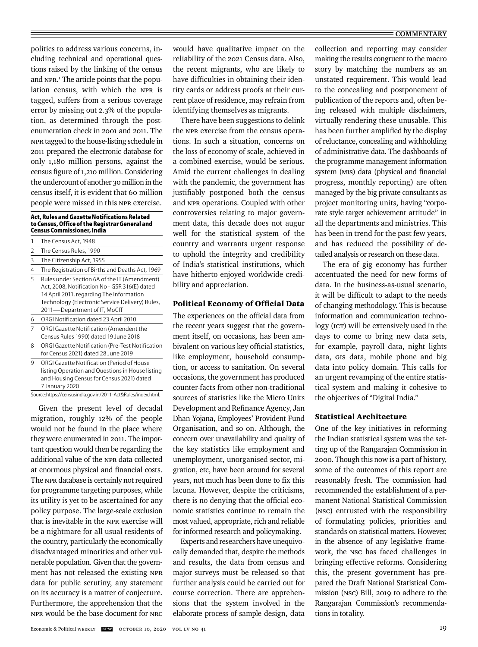#### $\equiv$  **COMMENTARY**

politics to address various concerns, including technical and operational questions raised by the linking of the census and NPR.<sup>1</sup> The article points that the population census, with which the NPR is tagged, suffers from a serious coverage error by missing out 2.3% of the population, as determined through the postenumeration check in 2001 and 2011. The NPR tagged to the house-listing schedule in 2011 prepared the electronic database for only 1,180 million persons, against the census figure of 1,210 million. Considering the undercount of another 30 million in the census itself, it is evident that 60 million people were missed in this NPR exercise.

#### **Act, Rules and Gazette Notifications Related to Census, Office of the Registrar General and Census Commissioner, India**

| 1 | The Census Act, 1948                                                                                                                                                                                                         |
|---|------------------------------------------------------------------------------------------------------------------------------------------------------------------------------------------------------------------------------|
| 2 | The Census Rules, 1990                                                                                                                                                                                                       |
| 3 | The Citizenship Act, 1955                                                                                                                                                                                                    |
| 4 | The Registration of Births and Deaths Act, 1969                                                                                                                                                                              |
| 5 | Rules under Section 6A of the IT (Amendment)<br>Act, 2008, Notification No - GSR 316(E) dated<br>14 April 2011, regarding The Information<br>Technology (Electronic Service Delivery) Rules,<br>2011-Department of IT, MoCIT |
| 6 | ORGI Notification dated 23 April 2010                                                                                                                                                                                        |
| 7 | ORGI Gazette Notification (Amendent the<br>Census Rules 1990) dated 19 June 2018                                                                                                                                             |
| 8 | ORGI Gazette Notification (Pre-Test Notification<br>for Census 2021) dated 28 June 2019                                                                                                                                      |
| 9 | ORGI Gazette Notification (Period of House<br>listing Operation and Questions in House listing<br>and Housing Census for Census 2021) dated                                                                                  |

Source: https://censusindia.gov.in/2011-Act&Rules/index.html.

7 January 2020

Given the present level of decadal migration, roughly 12% of the people would not be found in the place where they were enumerated in 2011. The important question would then be regarding the additional value of the NPR data collected at enormous physical and financial costs. The NPR database is certainly not required for programme targeting purposes, while its utility is yet to be ascertained for any policy purpose. The large-scale exclusion that is inevitable in the NPR exercise will be a nightmare for all usual residents of the country, particularly the economically disadvantaged minorities and other vulnerable population. Given that the government has not released the existing NPR data for public scrutiny, any statement on its accuracy is a matter of conjecture. Furthermore, the apprehension that the NPR would be the base document for NRC

would have qualitative impact on the reliability of the 2021 Census data. Also, the recent migrants, who are likely to have difficulties in obtaining their identity cards or address proofs at their current place of residence, may refrain from identifying themselves as migrants.

There have been suggestions to delink the NPR exercise from the census operations. In such a situation, concerns on the loss of economy of scale, achieved in a combined exercise, would be serious. Amid the current challenges in dealing with the pandemic, the government has justifiably postponed both the census and NPR operations. Coupled with other controversies relating to major government data, this decade does not augur well for the statistical system of the country and warrants urgent response to uphold the integrity and credibility of India's statistical institutions, which have hitherto enjoyed worldwide credibility and appreciation.

### Political Economy of Official Data

The experiences on the official data from the recent years suggest that the government itself, on occasions, has been ambivalent on various key official statistics, like employment, household consumption, or access to sanitation. On several occasions, the government has produced counter-facts from other non-traditional sources of statistics like the Micro Units Development and Refinance Agency, Jan Dhan Yojana, Employees' Provident Fund Organisation, and so on. Although, the concern over unavailability and quality of the key statistics like employment and unemployment, unorganised sector, migration, etc, have been around for several years, not much has been done to fix this lacuna. However, despite the criticisms, there is no denying that the official economic statistics continue to remain the most valued, appropriate, rich and reliable for informed research and policymaking.

Experts and researchers have unequivocally demanded that, despite the methods and results, the data from census and major surveys must be released so that further analysis could be carried out for course correction. There are apprehensions that the system involved in the elaborate process of sample design, data collection and reporting may consider making the results congruent to the macro story by matching the numbers as an unstated requirement. This would lead to the concealing and postponement of publication of the reports and, often being released with multiple disclaimers, virtually rendering these unusable. This has been further amplified by the display of reluctance, concealing and withholding of administrative data. The dashboards of the programme management information system (MIS) data (physical and financial progress, monthly reporting) are often managed by the big private consultants as project monitoring units, having "corporate style target achievement attitude" in all the departments and ministries. This has been in trend for the past few years, and has reduced the possibility of detailed analysis or research on these data.

The era of gig economy has further accentuated the need for new forms of data. In the business-as-usual scenario, it will be difficult to adapt to the needs of changing methodology. This is because information and communication technology (ICT) will be extensively used in the days to come to bring new data sets, for example, payroll data, night lights data, GIS data, mobile phone and big data into policy domain. This calls for an urgent revamping of the entire statistical system and making it cohesive to the objectives of "Digital India."

#### Statistical Architecture

One of the key initiatives in reforming the Indian statistical system was the setting up of the Rangarajan Commission in 2000. Though this now is a part of history, some of the outcomes of this report are reasonably fresh. The commission had recommended the establishment of a permanent National Statistical Commission (NSC) entrusted with the responsibility of formulating policies, priorities and standards on statistical matters. However, in the absence of any legislative framework, the NSC has faced challenges in bringing effective reforms. Considering this, the present government has prepared the Draft National Statistical Commission (NSC) Bill, 2019 to adhere to the Rangarajan Commission's recommendations in totality.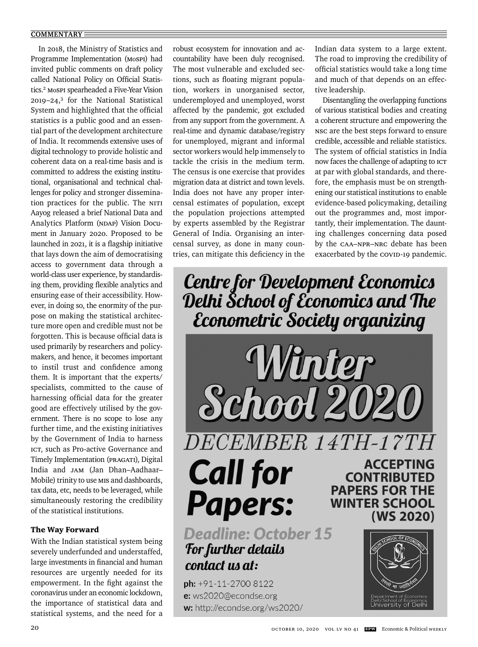#### **COMMENTARY**

In 2018, the Ministry of Statistics and Programme Implementation (MoSPI) had invited public comments on draft policy called National Policy on Official Statistics.<sup>2</sup> MoSPI spearheaded a Five-Year Vision 2019–24,3 for the National Statistical System and highlighted that the official statistics is a public good and an essential part of the development architecture of India. It recommends extensive uses of digital technology to provide holistic and coherent data on a real-time basis and is committed to address the existing institutional, organisational and technical challenges for policy and stronger dissemination practices for the public. The NITI Aayog released a brief National Data and Analytics Platform (NDAP) Vision Document in January 2020. Proposed to be launched in 2021, it is a flagship initiative that lays down the aim of democratising access to government data through a world-class user experience, by standardising them, providing flexible analytics and ensuring ease of their accessibility. However, in doing so, the enormity of the purpose on making the statistical architecture more open and credible must not be forgotten. This is because official data is used primarily by researchers and policymakers, and hence, it becomes important to instil trust and confidence among them. It is important that the experts/ specialists, committed to the cause of harnessing official data for the greater good are effectively utilised by the government. There is no scope to lose any further time, and the existing initiatives by the Government of India to harness ICT, such as Pro-active Governance and Timely Implementation (PRAGATI), Digital India and JAM (Jan Dhan–Aadhaar– Mobile) trinity to use MIS and dashboards, tax data, etc, needs to be leveraged, while simultaneously restoring the credibility of the statistical institutions.

#### The Way Forward

With the Indian statistical system being severely underfunded and understaffed, large investments in financial and human resources are urgently needed for its empowerment. In the fight against the coronavirus under an economic lockdown, the importance of statistical data and statistical systems, and the need for a

robust ecosystem for innovation and accountability have been duly recognised. The most vulnerable and excluded sections, such as floating migrant population, workers in unorganised sector, underemployed and unemployed, worst affected by the pandemic, got excluded from any support from the government. A real-time and dynamic database/registry for unemployed, migrant and informal sector workers would help immensely to tackle the crisis in the medium term. The census is one exercise that provides migration data at district and town levels. India does not have any proper intercensal estimates of population, except the population projections attempted by experts assembled by the Registrar General of India. Organising an intercensal survey, as done in many countries, can mitigate this deficiency in the Indian data system to a large extent. The road to improving the credibility of official statistics would take a long time and much of that depends on an effective leadership.

Disentangling the overlapping functions of various statistical bodies and creating a coherent structure and empowering the NSC are the best steps forward to ensure credible, accessible and reliable statistics. The system of official statistics in India now faces the challenge of adapting to ICT at par with global standards, and therefore, the emphasis must be on strengthening our statistical institutions to enable evidence-based policymaking, detailing out the programmes and, most importantly, their implementation. The daunting challenges concerning data posed by the CAA–NPR–NRC debate has been exacerbated by the COVID-19 pandemic.

Centre for Development Economics<br>Delhi School of Economics and The<br>Econometric Society organizing



**Papers: Deadline: October 15 For further details** contact us at:

ph: +91-11-2700 8122 e: ws2020@econdse.org w: http://econdse.org/ws2020/

**ACCEPTING CONTRIBUTED PAPERS FOR THE WINTER SCHOOL** (WS 2020)